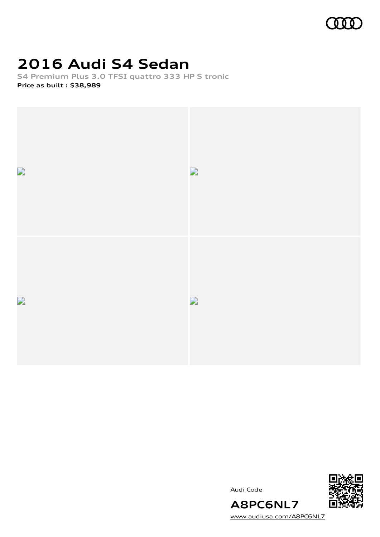

# **2016 Audi S4 Sedan**

**S4 Premium Plus 3.0 TFSI quattro 333 HP S tronic Price as built [:](#page-10-0) \$38,989**



Audi Code



**A8PC6NL7** [www.audiusa.com/A8PC6NL7](https://www.audiusa.com/A8PC6NL7)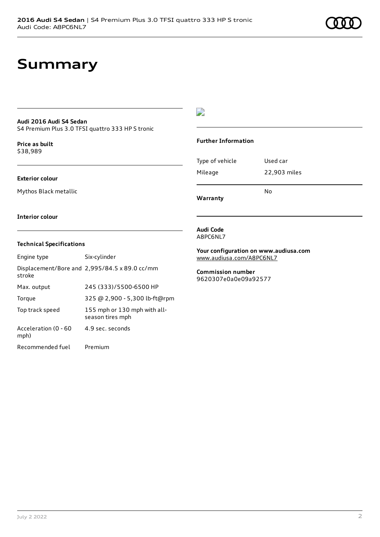## **Summary**

#### **Audi 2016 Audi S4 Sedan**

S4 Premium Plus 3.0 TFSI quattro 333 HP S tronic

**Price as buil[t](#page-10-0)** \$38,989

#### **Exterior colour**

Mythos Black metallic

#### $\overline{\phantom{a}}$

#### **Further Information**

| Warranty        |              |
|-----------------|--------------|
|                 | N٥           |
| Mileage         | 22,903 miles |
| Type of vehicle | Used car     |

**Interior colour**

#### **Technical Specifications**

| Engine type                  | Six-cylinder                                     |
|------------------------------|--------------------------------------------------|
| stroke                       | Displacement/Bore and 2,995/84.5 x 89.0 cc/mm    |
| Max. output                  | 245 (333)/5500-6500 HP                           |
| Torque                       | 325 @ 2,900 - 5,300 lb-ft@rpm                    |
| Top track speed              | 155 mph or 130 mph with all-<br>season tires mph |
| Acceleration (0 - 60<br>mph) | 4.9 sec. seconds                                 |
| Recommended fuel             | Premium                                          |

#### **Audi Code** A8PC6NL7

**Your configuration on www.audiusa.com** [www.audiusa.com/A8PC6NL7](https://www.audiusa.com/A8PC6NL7)

**Commission number** 9620307e0a0e09a92577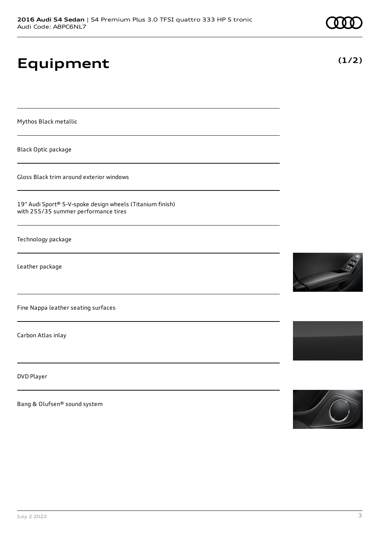# **Equipment**

Mythos Black metallic

Black Optic package

Gloss Black trim around exterior windows

19" Audi Sport® 5-V-spoke design wheels (Titanium finish) with 255/35 summer performance tires

Technology package

Leather package

Fine Nappa leather seating surfaces

Carbon Atlas inlay

DVD Player

Bang & Olufsen® sound system









**(1/2)**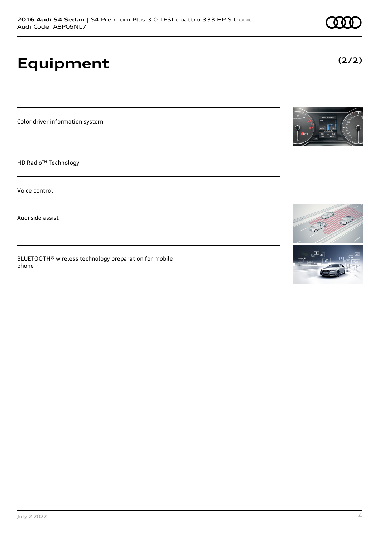# **Equipment**

Color driver information system

HD Radio™ Technology

Voice control

Audi side assist

BLUETOOTH® wireless technology preparation for mobile phone



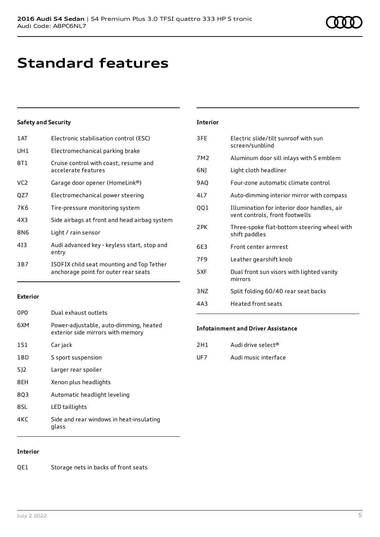# **Standard features**

#### **Safety and Security**

| 1AT | Electronic stabilisation control (ESC)                                            |
|-----|-----------------------------------------------------------------------------------|
| UH1 | Electromechanical parking brake                                                   |
| 8T1 | Cruise control with coast, resume and<br>accelerate features                      |
| VC2 | Garage door opener (HomeLink®)                                                    |
| QZ7 | Electromechanical power steering                                                  |
| 7K6 | Tire-pressure monitoring system                                                   |
| 4X3 | Side airbags at front and head airbag system                                      |
| 8N6 | Light / rain sensor                                                               |
| 413 | Audi advanced key - keyless start, stop and<br>entry                              |
| 3B7 | ISOFIX child seat mounting and Top Tether<br>anchorage point for outer rear seats |
|     |                                                                                   |

#### **Exterior**

| 0PO | Dual exhaust outlets                                                        |
|-----|-----------------------------------------------------------------------------|
| 6XM | Power-adjustable, auto-dimming, heated<br>exterior side mirrors with memory |
| 1S1 | Car jack                                                                    |
| 1BD | S sport suspension                                                          |
| 512 | Larger rear spoiler                                                         |
| 8EH | Xenon plus headlights                                                       |
| 803 | Automatic headlight leveling                                                |
| 8SL | LED taillights                                                              |
| 4KC | Side and rear windows in heat-insulating<br>glass                           |
|     |                                                                             |

#### **Interior**

QE1 Storage nets in backs of front seats

| <b>Interior</b> |                                                                               |
|-----------------|-------------------------------------------------------------------------------|
| 3FE             | Electric slide/tilt sunroof with sun<br>screen/sunblind                       |
| 7M2             | Aluminum door sill inlays with S emblem                                       |
| 6N)             | Light cloth headliner                                                         |
| 9AQ             | Four-zone automatic climate control                                           |
| 4L7             | Auto-dimming interior mirror with compass                                     |
| QQ1             | Illumination for interior door handles, air<br>vent controls, front footwells |
| 2PK             | Three-spoke flat-bottom steering wheel with<br>shift paddles                  |
| 6E3             | Front center armrest                                                          |
| 7F9             | Leather gearshift knob                                                        |
| 5XF             | Dual front sun visors with lighted vanity<br>mirrors                          |
| 3NZ             | Split folding 60/40 rear seat backs                                           |
| 4A3             | Heated front seats                                                            |

#### **Infotainment and Driver Assistance**

| 2H1 | Audi drive select®   |
|-----|----------------------|
| UF7 | Audi music interface |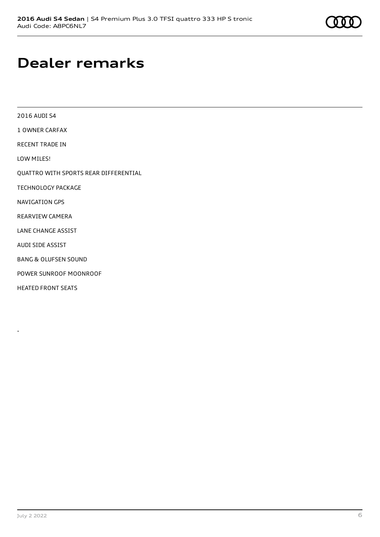# **Dealer remarks**

| 2016 AUDI S4                          |
|---------------------------------------|
| 1 OWNER CAREAX                        |
| RECENT TRADE IN                       |
| LOW MILES!                            |
| QUATTRO WITH SPORTS REAR DIFFERENTIAL |
| <b>TECHNOLOGY PACKAGE</b>             |
| NAVIGATION GPS                        |
| REARVIEW CAMERA                       |
| <b>LANE CHANGE ASSIST</b>             |
| AUDI SIDE ASSIST                      |
| <b>BANG &amp; OLUFSEN SOUND</b>       |
| POWER SUNROOF MOONROOF                |
| <b>HEATED FRONT SEATS</b>             |

-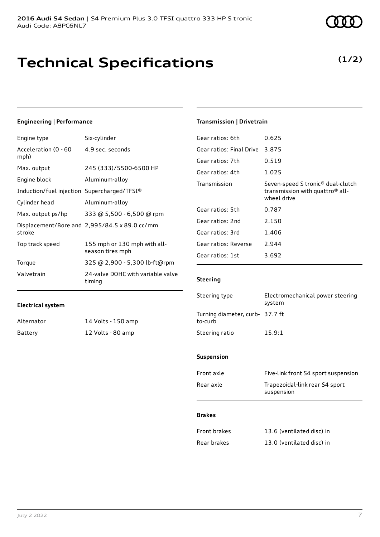## **Technical Specifications**

#### **Engineering | Performance**

| Engine type                                 | Six-cylinder                                     |
|---------------------------------------------|--------------------------------------------------|
| Acceleration (0 - 60<br>mph)                | 4.9 sec. seconds                                 |
| Max. output                                 | 245 (333)/5500-6500 HP                           |
| Engine block                                | Aluminum-alloy                                   |
| Induction/fuel injection Supercharged/TFSI® |                                                  |
| Cylinder head                               | Aluminum-alloy                                   |
| Max. output ps/hp                           | 333 @ 5,500 - 6,500 @ rpm                        |
| stroke                                      | Displacement/Bore and 2,995/84.5 x 89.0 cc/mm    |
| Top track speed                             | 155 mph or 130 mph with all-<br>season tires mph |
| Torque                                      | 325 @ 2,900 - 5,300 lb-ft@rpm                    |
| Valvetrain                                  | 24-valve DOHC with variable valve<br>timing      |

#### **Electrical system**

| Alternator | 14 Volts - 150 amp |
|------------|--------------------|
| Battery    | 12 Volts - 80 amp  |

### **Transmission | Drivetrain**

| Gear ratios: 6th         | 0.625                                                                                                       |
|--------------------------|-------------------------------------------------------------------------------------------------------------|
| Gear ratios: Final Drive | 3.875                                                                                                       |
| Gear ratios: 7th         | 0.519                                                                                                       |
| Gear ratios: 4th         | 1.025                                                                                                       |
| Transmission             | Seven-speed S tronic <sup>®</sup> dual-clutch<br>transmission with quattro <sup>®</sup> all-<br>wheel drive |
| Gear ratios: 5th         | 0.787                                                                                                       |
| Gear ratios: 2nd         | 2.150                                                                                                       |
| Gear ratios: 3rd         | 1.406                                                                                                       |
| Gear ratios: Reverse     | 2.944                                                                                                       |
| Gear ratios: 1st         | 3.692                                                                                                       |
|                          |                                                                                                             |

#### **Steering**

| Steering type                              | Electromechanical power steering<br>system |
|--------------------------------------------|--------------------------------------------|
| Turning diameter, curb- 37.7 ft<br>to-curb |                                            |
| Steering ratio                             | 15.9:1                                     |

#### **Suspension**

| Front axle | Five-link front S4 sport suspension          |
|------------|----------------------------------------------|
| Rear axle  | Trapezoidal-link rear S4 sport<br>suspension |

#### **Brakes**

| Front brakes | 13.6 (ventilated disc) in |
|--------------|---------------------------|
| Rear brakes  | 13.0 (ventilated disc) in |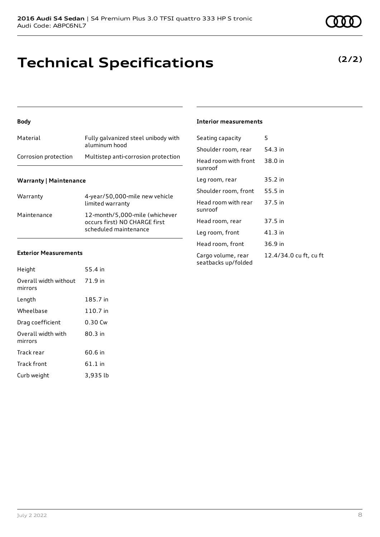## **Technical Specifications**

#### **Body**

| Material             | Fully galvanized steel unibody with<br>aluminum hood |
|----------------------|------------------------------------------------------|
| Corrosion protection | Multistep anti-corrosion protection                  |

#### **Warranty | Maintenance**

| Warranty    | 4-year/50,000-mile new vehicle<br>limited warranty                                       |
|-------------|------------------------------------------------------------------------------------------|
| Maintenance | 12-month/5,000-mile (whichever<br>occurs first) NO CHARGE first<br>scheduled maintenance |

#### **Exterior Measurements**

| Height                           | 55.4 in  |
|----------------------------------|----------|
| Overall width without<br>mirrors | 71.9 in  |
| Length                           | 185.7 in |
| Wheelbase                        | 110.7 in |
| Drag coefficient                 | 0.30 Cw  |
| Overall width with<br>mirrors    | 80.3 in  |
| Track rear                       | 60.6 in  |
| <b>Track front</b>               | 61.1 in  |
| Curb weight                      | 3.935 lb |

#### **Interior measurements**

| Seating capacity                          | 5                      |
|-------------------------------------------|------------------------|
| Shoulder room, rear                       | 54.3 in                |
| Head room with front<br>sunroof           | 38.0 in                |
| Leg room, rear                            | 35.2 in                |
| Shoulder room, front                      | 55.5 in                |
| Head room with rear<br>sunroof            | 37.5 in                |
| Head room, rear                           | 37.5 in                |
| Leg room, front                           | 41.3 in                |
| Head room, front                          | 36.9 in                |
| Cargo volume, rear<br>seatbacks up/folded | 12.4/34.0 cu ft, cu ft |

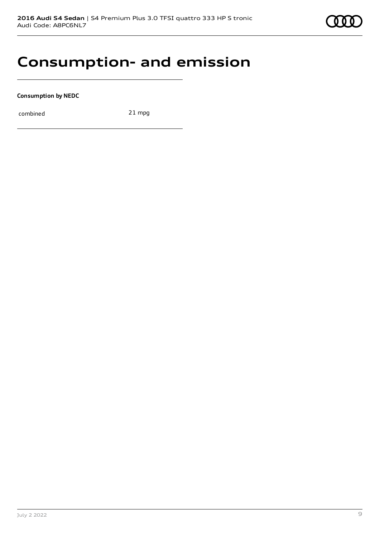

### **Consumption- and emission**

**Consumption by NEDC**

combined 21 mpg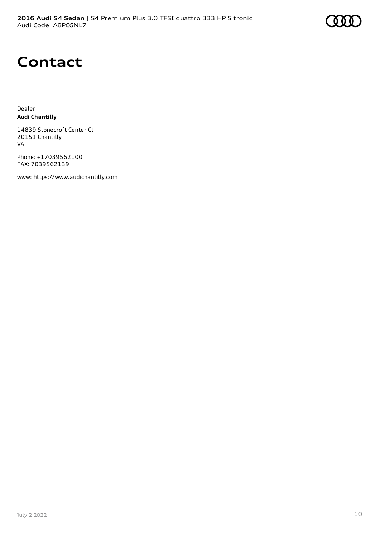### **Contact**

Dealer **Audi Chantilly**

14839 Stonecroft Center Ct 20151 Chantilly VA

Phone: +17039562100 FAX: 7039562139

www: [https://www.audichantilly.com](https://www.audichantilly.com/)